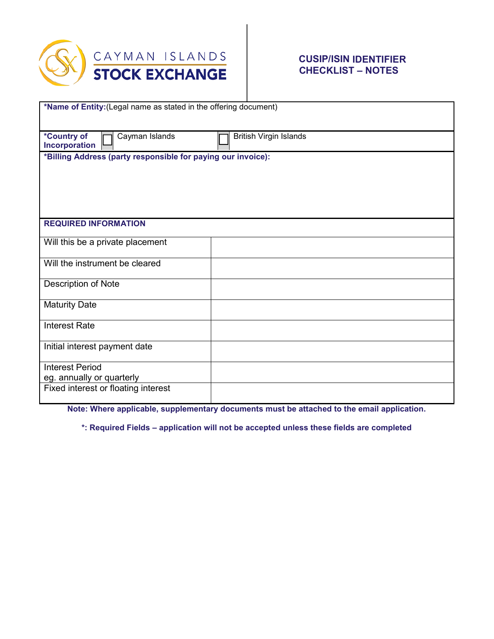

## **CUSIP/ISIN IDENTIFIER CHECKLIST – NOTES**

| *Name of Entity: (Legal name as stated in the offering document) |
|------------------------------------------------------------------|
|                                                                  |
|                                                                  |
| *Country of<br>Cayman Islands<br><b>British Virgin Islands</b>   |
| Incorporation                                                    |
| *Billing Address (party responsible for paying our invoice):     |
|                                                                  |
|                                                                  |
|                                                                  |
|                                                                  |
|                                                                  |
|                                                                  |
| <b>REQUIRED INFORMATION</b>                                      |
|                                                                  |
| Will this be a private placement                                 |
|                                                                  |
| Will the instrument be cleared                                   |
|                                                                  |
| Description of Note                                              |
|                                                                  |
| <b>Maturity Date</b>                                             |
|                                                                  |
| <b>Interest Rate</b>                                             |
|                                                                  |
| Initial interest payment date                                    |
|                                                                  |
| <b>Interest Period</b>                                           |
| eg. annually or quarterly                                        |
| Fixed interest or floating interest                              |
|                                                                  |

**Note: Where applicable, supplementary documents must be attached to the email application.**

**\*: Required Fields – application will not be accepted unless these fields are completed**